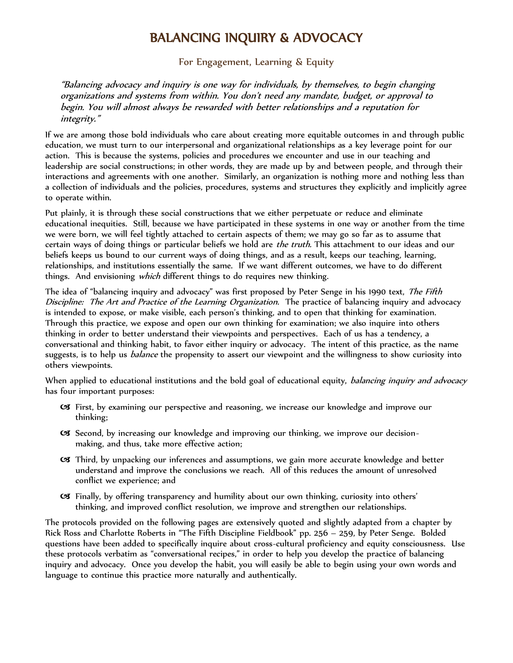# BALANCING INQUIRY & ADVOCACY

For Engagement, Learning & Equity

"Balancing advocacy and inquiry is one way for individuals, by themselves, to begin changing organizations and systems from within. You don't need any mandate, budget, or approval to begin. You will almost always be rewarded with better relationships and a reputation for integrity."

If we are among those bold individuals who care about creating more equitable outcomes in and through public education, we must turn to our interpersonal and organizational relationships as a key leverage point for our action. This is because the systems, policies and procedures we encounter and use in our teaching and leadership are social constructions; in other words, they are made up by and between people, and through their interactions and agreements with one another. Similarly, an organization is nothing more and nothing less than a collection of individuals and the policies, procedures, systems and structures they explicitly and implicitly agree to operate within.

Put plainly, it is through these social constructions that we either perpetuate or reduce and eliminate educational inequities. Still, because we have participated in these systems in one way or another from the time we were born, we will feel tightly attached to certain aspects of them; we may go so far as to assume that certain ways of doing things or particular beliefs we hold are the truth. This attachment to our ideas and our beliefs keeps us bound to our current ways of doing things, and as a result, keeps our teaching, learning, relationships, and institutions essentially the same. If we want different outcomes, we have to do different things. And envisioning *which* different things to do requires new thinking.

The idea of "balancing inquiry and advocacy" was first proposed by Peter Senge in his 1990 text, The Fifth Discipline: The Art and Practice of the Learning Organization. The practice of balancing inquiry and advocacy is intended to expose, or make visible, each person's thinking, and to open that thinking for examination. Through this practice, we expose and open our own thinking for examination; we also inquire into others thinking in order to better understand their viewpoints and perspectives. Each of us has a tendency, a conversational and thinking habit, to favor either inquiry or advocacy. The intent of this practice, as the name suggests, is to help us *balance* the propensity to assert our viewpoint and the willingness to show curiosity into others viewpoints.

When applied to educational institutions and the bold goal of educational equity, balancing inquiry and advocacy has four important purposes:

- First, by examining our perspective and reasoning, we increase our knowledge and improve our thinking;
- Second, by increasing our knowledge and improving our thinking, we improve our decisionmaking, and thus, take more effective action;
- Third, by unpacking our inferences and assumptions, we gain more accurate knowledge and better understand and improve the conclusions we reach. All of this reduces the amount of unresolved conflict we experience; and
- Finally, by offering transparency and humility about our own thinking, curiosity into others' thinking, and improved conflict resolution, we improve and strengthen our relationships.

The protocols provided on the following pages are extensively quoted and slightly adapted from a chapter by Rick Ross and Charlotte Roberts in "The Fifth Discipline Fieldbook" pp. 256 – 259, by Peter Senge. Bolded questions have been added to specifically inquire about cross-cultural proficiency and equity consciousness. Use these protocols verbatim as "conversational recipes," in order to help you develop the practice of balancing inquiry and advocacy. Once you develop the habit, you will easily be able to begin using your own words and language to continue this practice more naturally and authentically.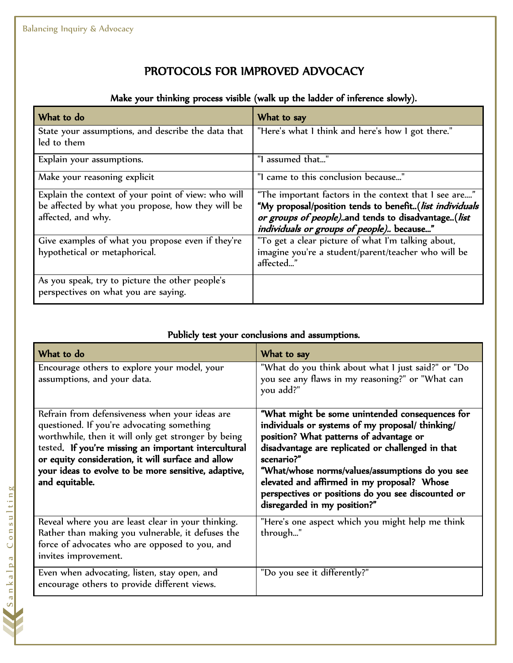## PROTOCOLS FOR IMPROVED ADVOCACY

| What to do                                                                                                                     | What to say                                                                                                                                                                                                                 |
|--------------------------------------------------------------------------------------------------------------------------------|-----------------------------------------------------------------------------------------------------------------------------------------------------------------------------------------------------------------------------|
| State your assumptions, and describe the data that<br>led to them                                                              | "Here's what I think and here's how I got there."                                                                                                                                                                           |
| Explain your assumptions.                                                                                                      | "I assumed that"                                                                                                                                                                                                            |
| Make your reasoning explicit                                                                                                   | "I came to this conclusion because"                                                                                                                                                                                         |
| Explain the context of your point of view: who will<br>be affected by what you propose, how they will be<br>affected, and why. | "The important factors in the context that I see are"<br>"My proposal/position tends to benefit( <i>list individuals</i><br>or groups of people)and tends to disadvantage(list<br>individuals or groups of people) because" |
| Give examples of what you propose even if they're<br>hypothetical or metaphorical.                                             | "To get a clear picture of what I'm talking about,<br>imagine you're a student/parent/teacher who will be<br>affected"                                                                                                      |
| As you speak, try to picture the other people's<br>perspectives on what you are saying.                                        |                                                                                                                                                                                                                             |

## Make your thinking process visible (walk up the ladder of inference slowly).

#### Publicly test your conclusions and assumptions.

| What to do                                                                                                                                                                                                                                                                                                                                  | What to say                                                                                                                                                                                                                                                                                                                                                                                               |
|---------------------------------------------------------------------------------------------------------------------------------------------------------------------------------------------------------------------------------------------------------------------------------------------------------------------------------------------|-----------------------------------------------------------------------------------------------------------------------------------------------------------------------------------------------------------------------------------------------------------------------------------------------------------------------------------------------------------------------------------------------------------|
| Encourage others to explore your model, your<br>assumptions, and your data.                                                                                                                                                                                                                                                                 | "What do you think about what I just said?" or "Do<br>you see any flaws in my reasoning?" or "What can<br>you add?"                                                                                                                                                                                                                                                                                       |
| Refrain from defensiveness when your ideas are<br>questioned. If you're advocating something<br>worthwhile, then it will only get stronger by being<br>tested. If you're missing an important intercultural<br>or equity consideration, it will surface and allow<br>your ideas to evolve to be more sensitive, adaptive,<br>and equitable. | "What might be some unintended consequences for<br>individuals or systems of my proposal/ thinking/<br>position? What patterns of advantage or<br>disadvantage are replicated or challenged in that<br>scenario?"<br>"What/whose norms/values/assumptions do you see<br>elevated and affirmed in my proposal? Whose<br>perspectives or positions do you see discounted or<br>disregarded in my position?" |
| Reveal where you are least clear in your thinking.<br>Rather than making you vulnerable, it defuses the<br>force of advocates who are opposed to you, and<br>invites improvement.                                                                                                                                                           | "Here's one aspect which you might help me think<br>through"                                                                                                                                                                                                                                                                                                                                              |
| Even when advocating, listen, stay open, and<br>encourage others to provide different views.                                                                                                                                                                                                                                                | "Do you see it differently?"                                                                                                                                                                                                                                                                                                                                                                              |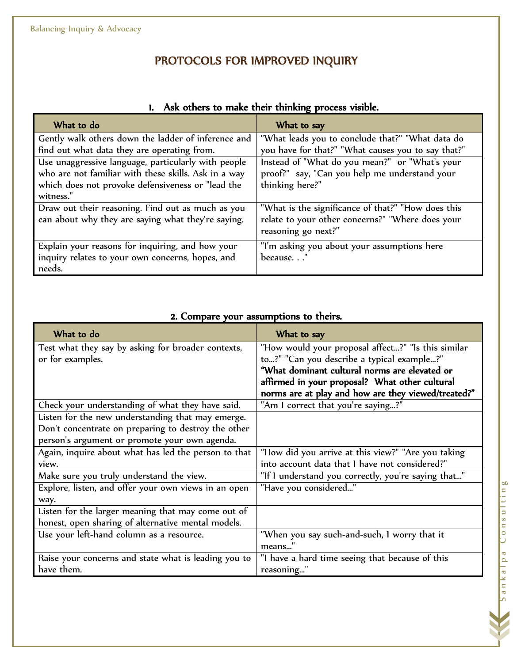## PROTOCOLS FOR IMPROVED INQUIRY

| What to do                                           | What to say                                        |
|------------------------------------------------------|----------------------------------------------------|
| Gently walk others down the ladder of inference and  | "What leads you to conclude that?" "What data do   |
| find out what data they are operating from.          | you have for that?" "What causes you to say that?" |
| Use unaggressive language, particularly with people  | Instead of "What do you mean?" or "What's your     |
| who are not familiar with these skills. Ask in a way | proof?" say, "Can you help me understand your      |
| which does not provoke defensiveness or "lead the    | thinking here?"                                    |
| witness."                                            |                                                    |
| Draw out their reasoning. Find out as much as you    | "What is the significance of that?" "How does this |
| can about why they are saying what they're saying.   | relate to your other concerns?" "Where does your   |
|                                                      | reasoning go next?"                                |
| Explain your reasons for inquiring, and how your     | "I'm asking you about your assumptions here        |
| inquiry relates to your own concerns, hopes, and     | because."                                          |
| needs.                                               |                                                    |

## 1. Ask others to make their thinking process visible.

| What to do                                           | What to say                                         |
|------------------------------------------------------|-----------------------------------------------------|
| Test what they say by asking for broader contexts,   | "How would your proposal affect?" "Is this similar  |
| or for examples.                                     | to?" "Can you describe a typical example?"          |
|                                                      | "What dominant cultural norms are elevated or       |
|                                                      | affirmed in your proposal? What other cultural      |
|                                                      | norms are at play and how are they viewed/treated?" |
| Check your understanding of what they have said.     | "Am I correct that you're saying?"                  |
| Listen for the new understanding that may emerge.    |                                                     |
| Don't concentrate on preparing to destroy the other  |                                                     |
| person's argument or promote your own agenda.        |                                                     |
| Again, inquire about what has led the person to that | "How did you arrive at this view?" "Are you taking  |
| view.                                                | into account data that I have not considered?"      |
| Make sure you truly understand the view.             | "If I understand you correctly, you're saying that" |
| Explore, listen, and offer your own views in an open | "Have you considered"                               |
| way.                                                 |                                                     |
| Listen for the larger meaning that may come out of   |                                                     |
| honest, open sharing of alternative mental models.   |                                                     |
| Use your left-hand column as a resource.             | "When you say such-and-such, I worry that it        |
|                                                      | means"                                              |
| Raise your concerns and state what is leading you to | "I have a hard time seeing that because of this     |
| have them.                                           | reasoning"                                          |

#### 2. Compare your assumptions to theirs.